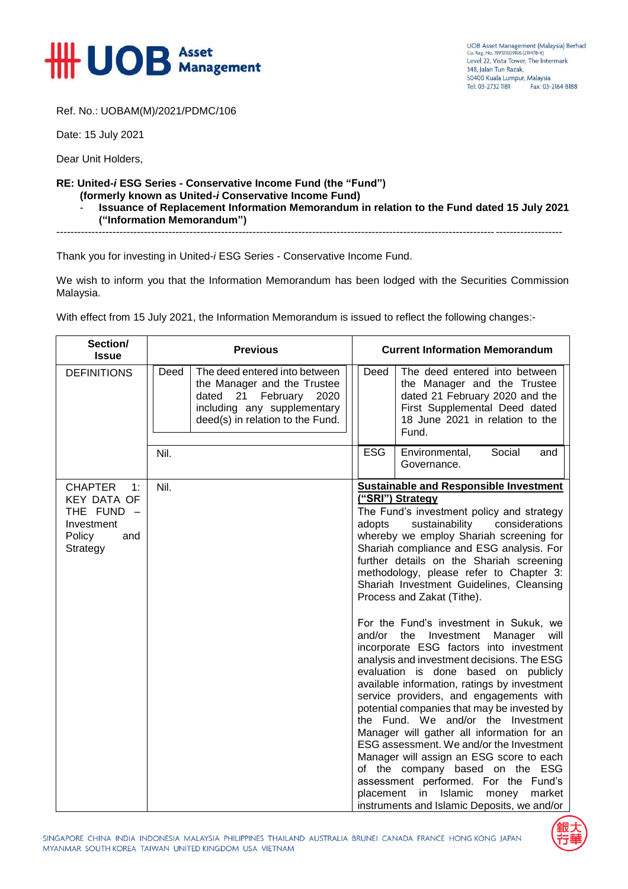

Ref. No.: UOBAM(M)/2021/PDMC/106

Date: 15 July 2021

Dear Unit Holders,

## **RE: United-***i* **ESG Series - Conservative Income Fund (the "Fund")**

- **(formerly known as United-***i* **Conservative Income Fund)**
	- **Issuance of Replacement Information Memorandum in relation to the Fund dated 15 July 2021 ("Information Memorandum")**

------------------------------------------------------------------------------------------------------------------------------------------------

Thank you for investing in United-*i* ESG Series - Conservative Income Fund.

We wish to inform you that the Information Memorandum has been lodged with the Securities Commission Malaysia.

With effect from 15 July 2021, the Information Memorandum is issued to reflect the following changes:-

| Section/<br><b>Issue</b>                                                                              | <b>Previous</b>                                                                                                                                                            | <b>Current Information Memorandum</b>                                                                                                                                                                                                                                                                                                                                                                                                                                                                                                                                                                                                                                                                                                                                                                                                                                                                                                                                                                                                                                                                                                        |
|-------------------------------------------------------------------------------------------------------|----------------------------------------------------------------------------------------------------------------------------------------------------------------------------|----------------------------------------------------------------------------------------------------------------------------------------------------------------------------------------------------------------------------------------------------------------------------------------------------------------------------------------------------------------------------------------------------------------------------------------------------------------------------------------------------------------------------------------------------------------------------------------------------------------------------------------------------------------------------------------------------------------------------------------------------------------------------------------------------------------------------------------------------------------------------------------------------------------------------------------------------------------------------------------------------------------------------------------------------------------------------------------------------------------------------------------------|
| <b>DEFINITIONS</b>                                                                                    | The deed entered into between<br>Deed<br>the Manager and the Trustee<br>dated<br>21<br>February<br>2020<br>including any supplementary<br>deed(s) in relation to the Fund. | Deed<br>The deed entered into between<br>the Manager and the Trustee<br>dated 21 February 2020 and the<br>First Supplemental Deed dated<br>18 June 2021 in relation to the<br>Fund.                                                                                                                                                                                                                                                                                                                                                                                                                                                                                                                                                                                                                                                                                                                                                                                                                                                                                                                                                          |
|                                                                                                       | Nil.                                                                                                                                                                       | <b>ESG</b><br>Social<br>Environmental,<br>and<br>Governance.                                                                                                                                                                                                                                                                                                                                                                                                                                                                                                                                                                                                                                                                                                                                                                                                                                                                                                                                                                                                                                                                                 |
| <b>CHAPTER</b><br>1:<br><b>KEY DATA OF</b><br>THE FUND $-$<br>Investment<br>Policy<br>and<br>Strategy | Nil.                                                                                                                                                                       | <b>Sustainable and Responsible Investment</b><br>("SRI") Strategy<br>The Fund's investment policy and strategy<br>sustainability<br>considerations<br>adopts<br>whereby we employ Shariah screening for<br>Shariah compliance and ESG analysis. For<br>further details on the Shariah screening<br>methodology, please refer to Chapter 3:<br>Shariah Investment Guidelines, Cleansing<br>Process and Zakat (Tithe).<br>For the Fund's investment in Sukuk, we<br>and/or the Investment<br>Manager<br>will<br>incorporate ESG factors into investment<br>analysis and investment decisions. The ESG<br>evaluation is done based on publicly<br>available information, ratings by investment<br>service providers, and engagements with<br>potential companies that may be invested by<br>the Fund. We and/or the Investment<br>Manager will gather all information for an<br>ESG assessment. We and/or the Investment<br>Manager will assign an ESG score to each<br>of the company based on the ESG<br>assessment performed. For the Fund's<br>placement<br>in<br>Islamic<br>market<br>money<br>instruments and Islamic Deposits, we and/or |

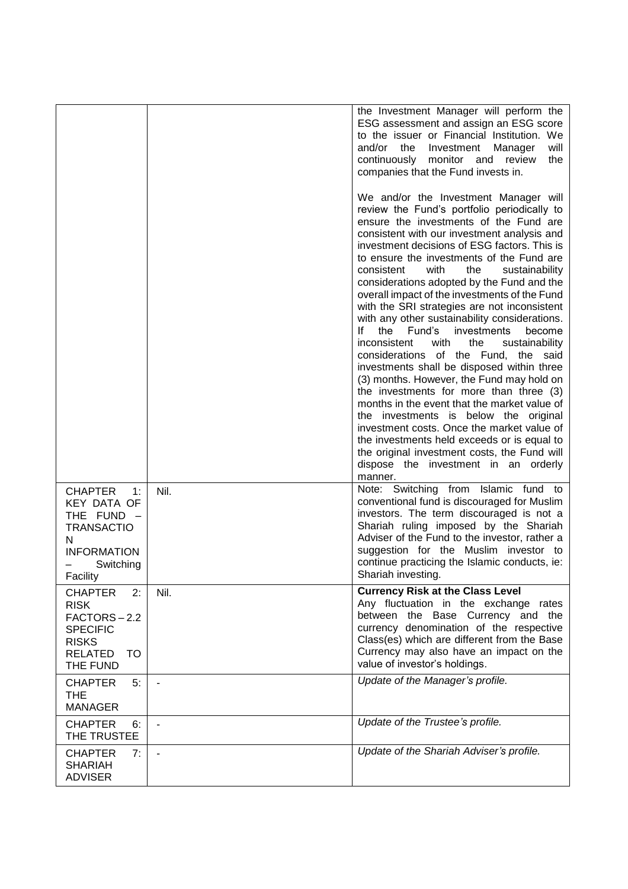| <b>CHAPTER</b><br>1:                                                                                                       | Nil.                     | the Investment Manager will perform the<br>ESG assessment and assign an ESG score<br>to the issuer or Financial Institution. We<br>and/or<br>the<br>Investment<br>will<br>Manager<br>continuously<br>monitor and<br>review<br>the<br>companies that the Fund invests in.<br>We and/or the Investment Manager will<br>review the Fund's portfolio periodically to<br>ensure the investments of the Fund are<br>consistent with our investment analysis and<br>investment decisions of ESG factors. This is<br>to ensure the investments of the Fund are<br>consistent<br>with<br>the<br>sustainability<br>considerations adopted by the Fund and the<br>overall impact of the investments of the Fund<br>with the SRI strategies are not inconsistent<br>with any other sustainability considerations.<br>١f<br>the<br>Fund's<br>investments<br>become<br>inconsistent<br>with<br>the<br>sustainability<br>considerations of the Fund, the<br>said<br>investments shall be disposed within three<br>(3) months. However, the Fund may hold on<br>the investments for more than three (3)<br>months in the event that the market value of<br>the investments is below the original<br>investment costs. Once the market value of<br>the investments held exceeds or is equal to<br>the original investment costs, the Fund will<br>dispose the investment in an orderly<br>manner.<br>Note: Switching from Islamic fund to |
|----------------------------------------------------------------------------------------------------------------------------|--------------------------|--------------------------------------------------------------------------------------------------------------------------------------------------------------------------------------------------------------------------------------------------------------------------------------------------------------------------------------------------------------------------------------------------------------------------------------------------------------------------------------------------------------------------------------------------------------------------------------------------------------------------------------------------------------------------------------------------------------------------------------------------------------------------------------------------------------------------------------------------------------------------------------------------------------------------------------------------------------------------------------------------------------------------------------------------------------------------------------------------------------------------------------------------------------------------------------------------------------------------------------------------------------------------------------------------------------------------------------------------------------------------------------------------------------------------|
| <b>KEY DATA OF</b><br>THE FUND $-$<br><b>TRANSACTIO</b><br>N<br><b>INFORMATION</b><br>Switching<br>Facility                |                          | conventional fund is discouraged for Muslim<br>investors. The term discouraged is not a<br>Shariah ruling imposed by the Shariah<br>Adviser of the Fund to the investor, rather a<br>suggestion for the Muslim investor to<br>continue practicing the Islamic conducts, ie:<br>Shariah investing.                                                                                                                                                                                                                                                                                                                                                                                                                                                                                                                                                                                                                                                                                                                                                                                                                                                                                                                                                                                                                                                                                                                        |
| <b>CHAPTER</b><br>2:<br><b>RISK</b><br>FACTORS-2.2<br><b>SPECIFIC</b><br><b>RISKS</b><br><b>RELATED</b><br>TO.<br>THE FUND | Nil.                     | <b>Currency Risk at the Class Level</b><br>Any fluctuation in the exchange rates<br>between the Base Currency and the<br>currency denomination of the respective<br>Class(es) which are different from the Base<br>Currency may also have an impact on the<br>value of investor's holdings.                                                                                                                                                                                                                                                                                                                                                                                                                                                                                                                                                                                                                                                                                                                                                                                                                                                                                                                                                                                                                                                                                                                              |
| <b>CHAPTER</b><br>5:<br><b>THE</b><br><b>MANAGER</b>                                                                       |                          | Update of the Manager's profile.                                                                                                                                                                                                                                                                                                                                                                                                                                                                                                                                                                                                                                                                                                                                                                                                                                                                                                                                                                                                                                                                                                                                                                                                                                                                                                                                                                                         |
| <b>CHAPTER</b><br>6:<br>THE TRUSTEE                                                                                        | $\overline{\phantom{a}}$ | Update of the Trustee's profile.                                                                                                                                                                                                                                                                                                                                                                                                                                                                                                                                                                                                                                                                                                                                                                                                                                                                                                                                                                                                                                                                                                                                                                                                                                                                                                                                                                                         |
| <b>CHAPTER</b><br>7:<br><b>SHARIAH</b><br><b>ADVISER</b>                                                                   |                          | Update of the Shariah Adviser's profile.                                                                                                                                                                                                                                                                                                                                                                                                                                                                                                                                                                                                                                                                                                                                                                                                                                                                                                                                                                                                                                                                                                                                                                                                                                                                                                                                                                                 |